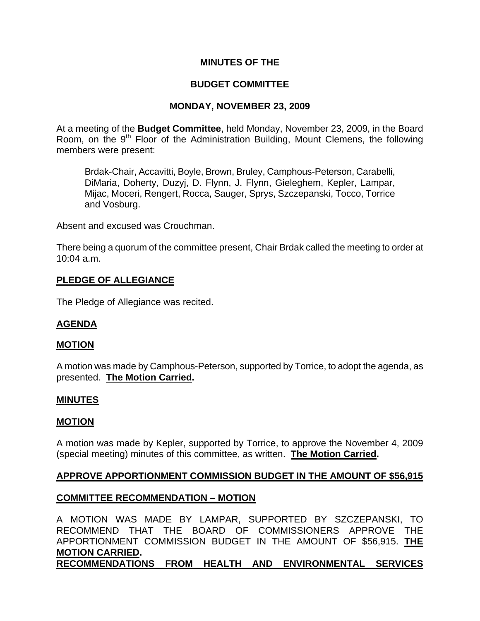## **MINUTES OF THE**

# **BUDGET COMMITTEE**

## **MONDAY, NOVEMBER 23, 2009**

At a meeting of the **Budget Committee**, held Monday, November 23, 2009, in the Board Room, on the 9<sup>th</sup> Floor of the Administration Building, Mount Clemens, the following members were present:

Brdak-Chair, Accavitti, Boyle, Brown, Bruley, Camphous-Peterson, Carabelli, DiMaria, Doherty, Duzyj, D. Flynn, J. Flynn, Gieleghem, Kepler, Lampar, Mijac, Moceri, Rengert, Rocca, Sauger, Sprys, Szczepanski, Tocco, Torrice and Vosburg.

Absent and excused was Crouchman.

There being a quorum of the committee present, Chair Brdak called the meeting to order at 10:04 a.m.

# **PLEDGE OF ALLEGIANCE**

The Pledge of Allegiance was recited.

## **AGENDA**

#### **MOTION**

A motion was made by Camphous-Peterson, supported by Torrice, to adopt the agenda, as presented. **The Motion Carried.** 

#### **MINUTES**

#### **MOTION**

A motion was made by Kepler, supported by Torrice, to approve the November 4, 2009 (special meeting) minutes of this committee, as written. **The Motion Carried.** 

## **APPROVE APPORTIONMENT COMMISSION BUDGET IN THE AMOUNT OF \$56,915**

## **COMMITTEE RECOMMENDATION – MOTION**

A MOTION WAS MADE BY LAMPAR, SUPPORTED BY SZCZEPANSKI, TO RECOMMEND THAT THE BOARD OF COMMISSIONERS APPROVE THE APPORTIONMENT COMMISSION BUDGET IN THE AMOUNT OF \$56,915. **THE MOTION CARRIED.**

**RECOMMENDATIONS FROM HEALTH AND ENVIRONMENTAL SERVICES**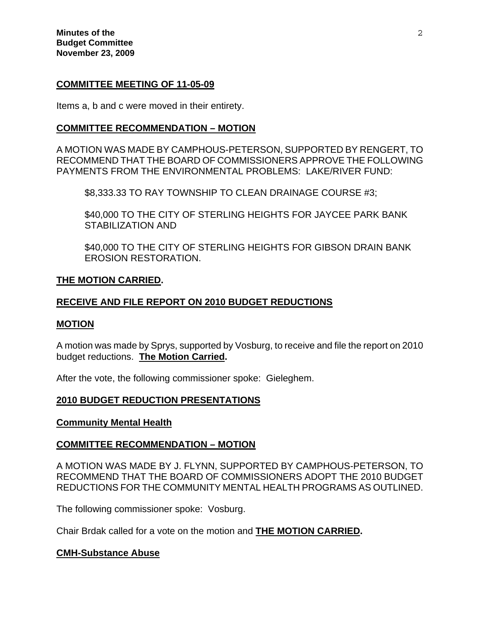#### **COMMITTEE MEETING OF 11-05-09**

Items a, b and c were moved in their entirety.

### **COMMITTEE RECOMMENDATION – MOTION**

A MOTION WAS MADE BY CAMPHOUS-PETERSON, SUPPORTED BY RENGERT, TO RECOMMEND THAT THE BOARD OF COMMISSIONERS APPROVE THE FOLLOWING PAYMENTS FROM THE ENVIRONMENTAL PROBLEMS: LAKE/RIVER FUND:

\$8,333.33 TO RAY TOWNSHIP TO CLEAN DRAINAGE COURSE #3;

\$40,000 TO THE CITY OF STERLING HEIGHTS FOR JAYCEE PARK BANK STABILIZATION AND

 \$40,000 TO THE CITY OF STERLING HEIGHTS FOR GIBSON DRAIN BANK EROSION RESTORATION.

### **THE MOTION CARRIED.**

## **RECEIVE AND FILE REPORT ON 2010 BUDGET REDUCTIONS**

#### **MOTION**

A motion was made by Sprys, supported by Vosburg, to receive and file the report on 2010 budget reductions. **The Motion Carried.** 

After the vote, the following commissioner spoke: Gieleghem.

#### **2010 BUDGET REDUCTION PRESENTATIONS**

#### **Community Mental Health**

#### **COMMITTEE RECOMMENDATION – MOTION**

A MOTION WAS MADE BY J. FLYNN, SUPPORTED BY CAMPHOUS-PETERSON, TO RECOMMEND THAT THE BOARD OF COMMISSIONERS ADOPT THE 2010 BUDGET REDUCTIONS FOR THE COMMUNITY MENTAL HEALTH PROGRAMS AS OUTLINED.

The following commissioner spoke: Vosburg.

Chair Brdak called for a vote on the motion and **THE MOTION CARRIED.** 

#### **CMH-Substance Abuse**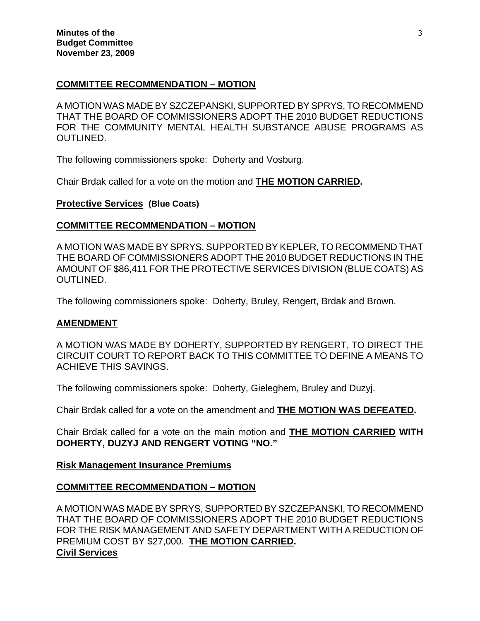## **COMMITTEE RECOMMENDATION – MOTION**

A MOTION WAS MADE BY SZCZEPANSKI, SUPPORTED BY SPRYS, TO RECOMMEND THAT THE BOARD OF COMMISSIONERS ADOPT THE 2010 BUDGET REDUCTIONS FOR THE COMMUNITY MENTAL HEALTH SUBSTANCE ABUSE PROGRAMS AS OUTLINED.

The following commissioners spoke: Doherty and Vosburg.

Chair Brdak called for a vote on the motion and **THE MOTION CARRIED.**

### **Protective Services (Blue Coats)**

## **COMMITTEE RECOMMENDATION – MOTION**

A MOTION WAS MADE BY SPRYS, SUPPORTED BY KEPLER, TO RECOMMEND THAT THE BOARD OF COMMISSIONERS ADOPT THE 2010 BUDGET REDUCTIONS IN THE AMOUNT OF \$86,411 FOR THE PROTECTIVE SERVICES DIVISION (BLUE COATS) AS OUTLINED.

The following commissioners spoke: Doherty, Bruley, Rengert, Brdak and Brown.

## **AMENDMENT**

A MOTION WAS MADE BY DOHERTY, SUPPORTED BY RENGERT, TO DIRECT THE CIRCUIT COURT TO REPORT BACK TO THIS COMMITTEE TO DEFINE A MEANS TO ACHIEVE THIS SAVINGS.

The following commissioners spoke: Doherty, Gieleghem, Bruley and Duzyj.

Chair Brdak called for a vote on the amendment and **THE MOTION WAS DEFEATED.** 

Chair Brdak called for a vote on the main motion and **THE MOTION CARRIED WITH DOHERTY, DUZYJ AND RENGERT VOTING "NO."**

## **Risk Management Insurance Premiums**

## **COMMITTEE RECOMMENDATION – MOTION**

A MOTION WAS MADE BY SPRYS, SUPPORTED BY SZCZEPANSKI, TO RECOMMEND THAT THE BOARD OF COMMISSIONERS ADOPT THE 2010 BUDGET REDUCTIONS FOR THE RISK MANAGEMENT AND SAFETY DEPARTMENT WITH A REDUCTION OF PREMIUM COST BY \$27,000. **THE MOTION CARRIED. Civil Services**